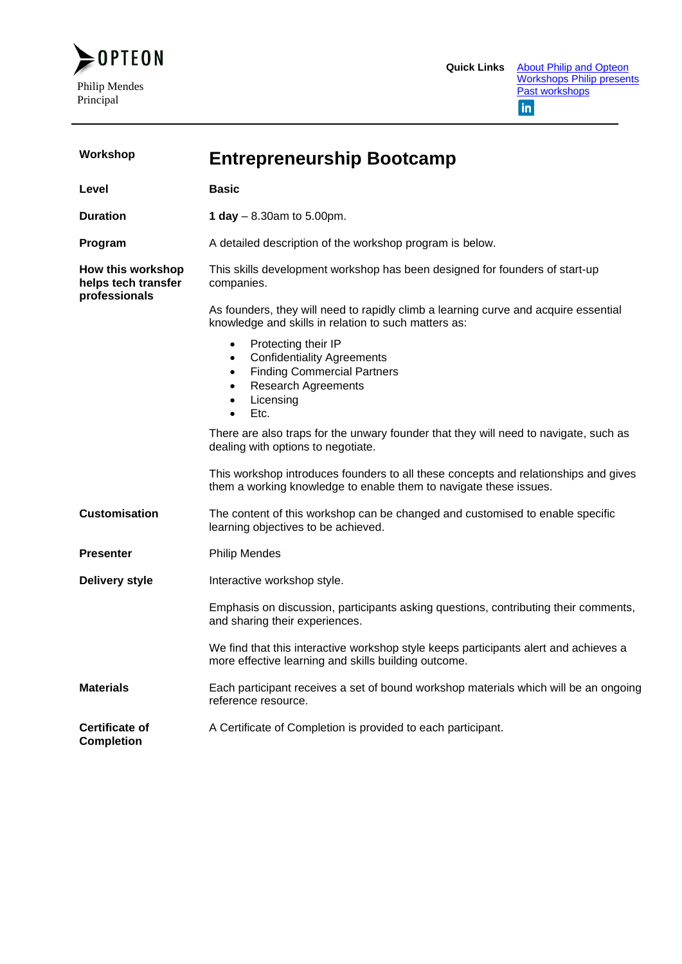

| Workshop                                                  | <b>Entrepreneurship Bootcamp</b>                                                                                                                                                                        |  |
|-----------------------------------------------------------|---------------------------------------------------------------------------------------------------------------------------------------------------------------------------------------------------------|--|
| Level                                                     | <b>Basic</b>                                                                                                                                                                                            |  |
| <b>Duration</b>                                           | 1 day $-8.30$ am to 5.00pm.                                                                                                                                                                             |  |
| Program                                                   | A detailed description of the workshop program is below.                                                                                                                                                |  |
| How this workshop<br>helps tech transfer<br>professionals | This skills development workshop has been designed for founders of start-up<br>companies.                                                                                                               |  |
|                                                           | As founders, they will need to rapidly climb a learning curve and acquire essential<br>knowledge and skills in relation to such matters as:                                                             |  |
|                                                           | Protecting their IP<br>$\bullet$<br><b>Confidentiality Agreements</b><br>٠<br><b>Finding Commercial Partners</b><br>٠<br><b>Research Agreements</b><br>٠<br>Licensing<br>$\bullet$<br>Etc.<br>$\bullet$ |  |
|                                                           | There are also traps for the unwary founder that they will need to navigate, such as<br>dealing with options to negotiate.                                                                              |  |
|                                                           | This workshop introduces founders to all these concepts and relationships and gives<br>them a working knowledge to enable them to navigate these issues.                                                |  |
| <b>Customisation</b>                                      | The content of this workshop can be changed and customised to enable specific<br>learning objectives to be achieved.                                                                                    |  |
| <b>Presenter</b>                                          | <b>Philip Mendes</b>                                                                                                                                                                                    |  |
| <b>Delivery style</b>                                     | Interactive workshop style.                                                                                                                                                                             |  |
|                                                           | Emphasis on discussion, participants asking questions, contributing their comments,<br>and sharing their experiences.                                                                                   |  |
|                                                           | We find that this interactive workshop style keeps participants alert and achieves a<br>more effective learning and skills building outcome.                                                            |  |
| <b>Materials</b>                                          | Each participant receives a set of bound workshop materials which will be an ongoing<br>reference resource.                                                                                             |  |
| <b>Certificate of</b><br><b>Completion</b>                | A Certificate of Completion is provided to each participant.                                                                                                                                            |  |